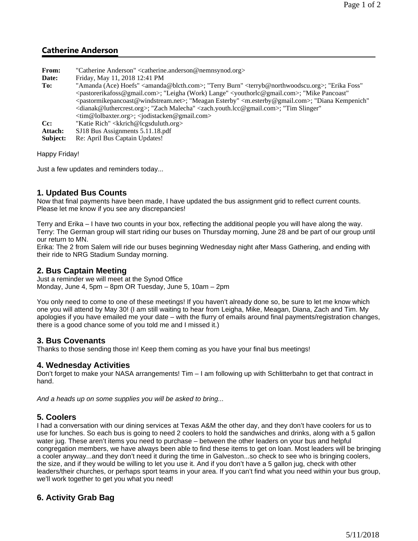# **Catherine Anderson**

| <b>From:</b> | "Catherine Anderson" <catherine.anderson@nemnsynod.org></catherine.anderson@nemnsynod.org>                                                                                                                                                                                                                                                                                                                                                                                                                                                                                                                                                                                                      |
|--------------|-------------------------------------------------------------------------------------------------------------------------------------------------------------------------------------------------------------------------------------------------------------------------------------------------------------------------------------------------------------------------------------------------------------------------------------------------------------------------------------------------------------------------------------------------------------------------------------------------------------------------------------------------------------------------------------------------|
| Date:        | Friday, May 11, 2018 12:41 PM                                                                                                                                                                                                                                                                                                                                                                                                                                                                                                                                                                                                                                                                   |
| To:          | "Amanda (Ace) Hoefs" <amanda@blcth.com>; "Terry Burn" <terryb@northwoodscu.org>; "Erika Foss"<br/><pastorerikafoss@gmail.com>; "Leigha (Work) Lange" <youthorlc@gmail.com>; "Mike Pancoast"<br/><pastormikepancoast@windstream.net>; "Meagan Esterby" <m.esterby@gmail.com>; "Diana Kempenich"<br/><dianak@luthercrest.org>; "Zach Malecha" <zach.youth.lcc@gmail.com>; "Tim Slinger"<br/><tim@lolbaxter.org>; <jodistacken@gmail.com></jodistacken@gmail.com></tim@lolbaxter.org></zach.youth.lcc@gmail.com></dianak@luthercrest.org></m.esterby@gmail.com></pastormikepancoast@windstream.net></youthorlc@gmail.com></pastorerikafoss@gmail.com></terryb@northwoodscu.org></amanda@blcth.com> |
| $Cc$ :       | "Katie Rich" < kkrich@lcgsduluth.org >                                                                                                                                                                                                                                                                                                                                                                                                                                                                                                                                                                                                                                                          |
| Attach:      | SJ18 Bus Assignments 5.11.18.pdf                                                                                                                                                                                                                                                                                                                                                                                                                                                                                                                                                                                                                                                                |
| Subject:     | Re: April Bus Captain Updates!                                                                                                                                                                                                                                                                                                                                                                                                                                                                                                                                                                                                                                                                  |

Happy Friday!

Just a few updates and reminders today...

#### **1. Updated Bus Counts**

Now that final payments have been made, I have updated the bus assignment grid to reflect current counts. Please let me know if you see any discrepancies!

Terry and Erika – I have two counts in your box, reflecting the additional people you will have along the way. Terry: The German group will start riding our buses on Thursday morning, June 28 and be part of our group until our return to MN.

Erika: The 2 from Salem will ride our buses beginning Wednesday night after Mass Gathering, and ending with their ride to NRG Stadium Sunday morning.

#### **2. Bus Captain Meeting**

Just a reminder we will meet at the Synod Office Monday, June 4, 5pm – 8pm OR Tuesday, June 5, 10am – 2pm

You only need to come to one of these meetings! If you haven't already done so, be sure to let me know which one you will attend by May 30! (I am still waiting to hear from Leigha, Mike, Meagan, Diana, Zach and Tim. My apologies if you have emailed me your date – with the flurry of emails around final payments/registration changes, there is a good chance some of you told me and I missed it.)

#### **3. Bus Covenants**

Thanks to those sending those in! Keep them coming as you have your final bus meetings!

### **4. Wednesday Activities**

Don't forget to make your NASA arrangements! Tim – I am following up with Schlitterbahn to get that contract in hand.

*And a heads up on some supplies you will be asked to bring...*

#### **5. Coolers**

I had a conversation with our dining services at Texas A&M the other day, and they don't have coolers for us to use for lunches. So each bus is going to need 2 coolers to hold the sandwiches and drinks, along with a 5 gallon water jug. These aren't items you need to purchase – between the other leaders on your bus and helpful congregation members, we have always been able to find these items to get on loan. Most leaders will be bringing a cooler anyway...and they don't need it during the time in Galveston...so check to see who is bringing coolers, the size, and if they would be willing to let you use it. And if you don't have a 5 gallon jug, check with other leaders/their churches, or perhaps sport teams in your area. If you can't find what you need within your bus group, we'll work together to get you what you need!

## **6. Activity Grab Bag**